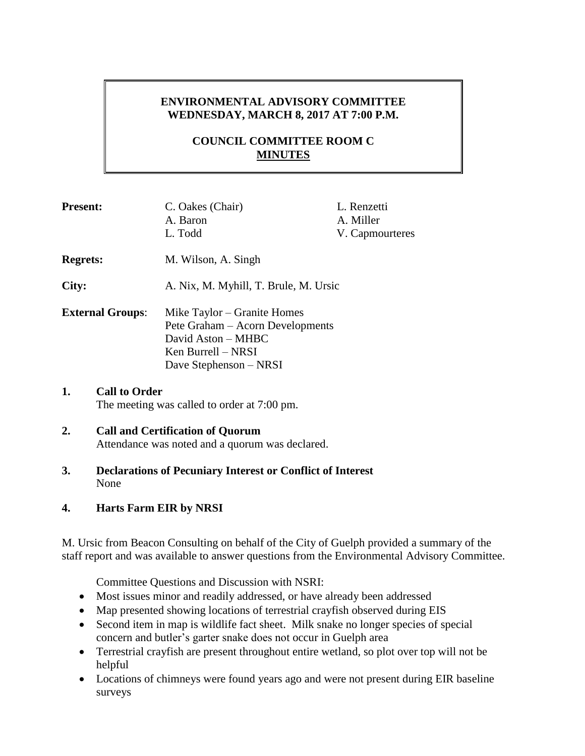## **ENVIRONMENTAL ADVISORY COMMITTEE WEDNESDAY, MARCH 8, 2017 AT 7:00 P.M.**

# **COUNCIL COMMITTEE ROOM C MINUTES**

| <b>Present:</b>         |                                                                     | C. Oakes (Chair)<br>A. Baron<br>L. Todd                                                                                               | L. Renzetti<br>A. Miller<br>V. Capmourteres |  |
|-------------------------|---------------------------------------------------------------------|---------------------------------------------------------------------------------------------------------------------------------------|---------------------------------------------|--|
| <b>Regrets:</b>         |                                                                     | M. Wilson, A. Singh                                                                                                                   |                                             |  |
| City:                   |                                                                     | A. Nix, M. Myhill, T. Brule, M. Ursic                                                                                                 |                                             |  |
| <b>External Groups:</b> |                                                                     | Mike Taylor – Granite Homes<br>Pete Graham – Acorn Developments<br>David Aston - MHBC<br>Ken Burrell – NRSI<br>Dave Stephenson – NRSI |                                             |  |
| 1.                      | <b>Call to Order</b><br>The meeting was called to order at 7:00 pm. |                                                                                                                                       |                                             |  |
| 2.                      | <b>Call and Certification of Ouorum</b>                             |                                                                                                                                       |                                             |  |

# Attendance was noted and a quorum was declared.

**3. Declarations of Pecuniary Interest or Conflict of Interest** None

## **4. Harts Farm EIR by NRSI**

M. Ursic from Beacon Consulting on behalf of the City of Guelph provided a summary of the staff report and was available to answer questions from the Environmental Advisory Committee.

Committee Questions and Discussion with NSRI:

- Most issues minor and readily addressed, or have already been addressed
- Map presented showing locations of terrestrial crayfish observed during EIS
- Second item in map is wildlife fact sheet. Milk snake no longer species of special concern and butler's garter snake does not occur in Guelph area
- Terrestrial crayfish are present throughout entire wetland, so plot over top will not be helpful
- Locations of chimneys were found years ago and were not present during EIR baseline surveys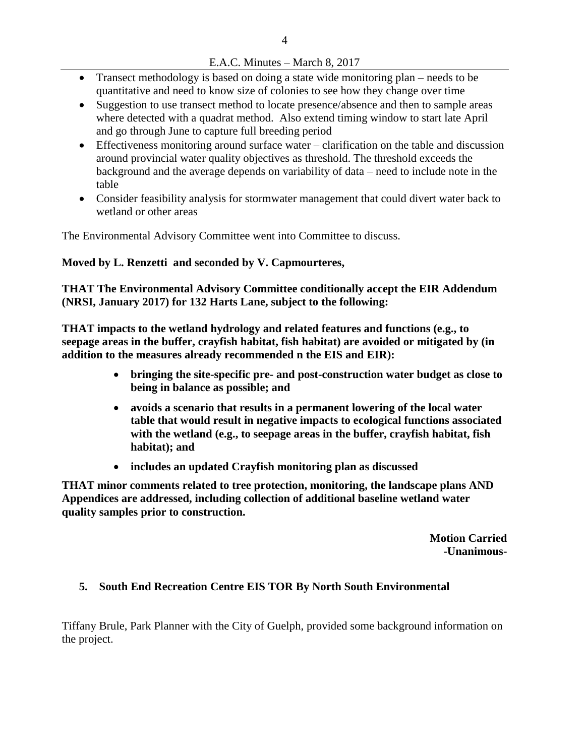#### E.A.C. Minutes – March 8, 2017

- Transect methodology is based on doing a state wide monitoring plan needs to be quantitative and need to know size of colonies to see how they change over time
- Suggestion to use transect method to locate presence/absence and then to sample areas where detected with a quadrat method. Also extend timing window to start late April and go through June to capture full breeding period
- Effectiveness monitoring around surface water clarification on the table and discussion around provincial water quality objectives as threshold. The threshold exceeds the background and the average depends on variability of data – need to include note in the table
- Consider feasibility analysis for stormwater management that could divert water back to wetland or other areas

The Environmental Advisory Committee went into Committee to discuss.

## **Moved by L. Renzetti and seconded by V. Capmourteres,**

**THAT The Environmental Advisory Committee conditionally accept the EIR Addendum (NRSI, January 2017) for 132 Harts Lane, subject to the following:** 

**THAT impacts to the wetland hydrology and related features and functions (e.g., to seepage areas in the buffer, crayfish habitat, fish habitat) are avoided or mitigated by (in addition to the measures already recommended n the EIS and EIR):** 

- **bringing the site-specific pre- and post-construction water budget as close to being in balance as possible; and**
- **avoids a scenario that results in a permanent lowering of the local water table that would result in negative impacts to ecological functions associated with the wetland (e.g., to seepage areas in the buffer, crayfish habitat, fish habitat); and**
- **includes an updated Crayfish monitoring plan as discussed**

**THAT minor comments related to tree protection, monitoring, the landscape plans AND Appendices are addressed, including collection of additional baseline wetland water quality samples prior to construction.** 

> **Motion Carried -Unanimous-**

## **5. South End Recreation Centre EIS TOR By North South Environmental**

Tiffany Brule, Park Planner with the City of Guelph, provided some background information on the project.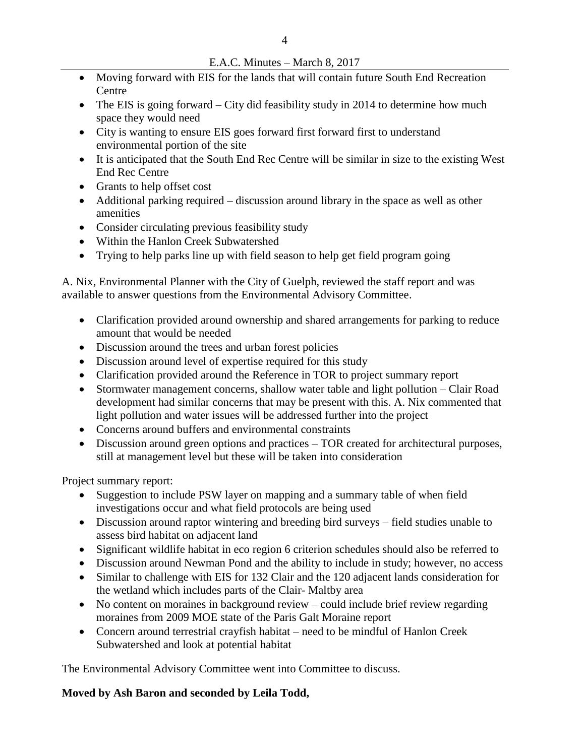- Moving forward with EIS for the lands that will contain future South End Recreation Centre
- The EIS is going forward City did feasibility study in 2014 to determine how much space they would need
- City is wanting to ensure EIS goes forward first forward first to understand environmental portion of the site
- It is anticipated that the South End Rec Centre will be similar in size to the existing West End Rec Centre
- Grants to help offset cost
- Additional parking required discussion around library in the space as well as other amenities
- Consider circulating previous feasibility study
- Within the Hanlon Creek Subwatershed
- Trying to help parks line up with field season to help get field program going

A. Nix, Environmental Planner with the City of Guelph, reviewed the staff report and was available to answer questions from the Environmental Advisory Committee.

- Clarification provided around ownership and shared arrangements for parking to reduce amount that would be needed
- Discussion around the trees and urban forest policies
- Discussion around level of expertise required for this study
- Clarification provided around the Reference in TOR to project summary report
- Stormwater management concerns, shallow water table and light pollution Clair Road development had similar concerns that may be present with this. A. Nix commented that light pollution and water issues will be addressed further into the project
- Concerns around buffers and environmental constraints
- Discussion around green options and practices TOR created for architectural purposes, still at management level but these will be taken into consideration

Project summary report:

- Suggestion to include PSW layer on mapping and a summary table of when field investigations occur and what field protocols are being used
- Discussion around raptor wintering and breeding bird surveys field studies unable to assess bird habitat on adjacent land
- Significant wildlife habitat in eco region 6 criterion schedules should also be referred to
- Discussion around Newman Pond and the ability to include in study; however, no access
- Similar to challenge with EIS for 132 Clair and the 120 adjacent lands consideration for the wetland which includes parts of the Clair- Maltby area
- No content on moraines in background review could include brief review regarding moraines from 2009 MOE state of the Paris Galt Moraine report
- Concern around terrestrial crayfish habitat need to be mindful of Hanlon Creek Subwatershed and look at potential habitat

The Environmental Advisory Committee went into Committee to discuss.

## **Moved by Ash Baron and seconded by Leila Todd,**